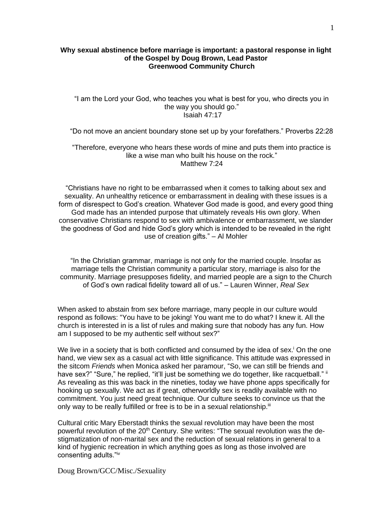## **Why sexual abstinence before marriage is important: a pastoral response in light of the Gospel by Doug Brown, Lead Pastor Greenwood Community Church**

## "I am the Lord your God, who teaches you what is best for you, who directs you in the way you should go." Isaiah 47:17

"Do not move an ancient boundary stone set up by your forefathers." Proverbs 22:28

"Therefore, everyone who hears these words of mine and puts them into practice is like a wise man who built his house on the rock." Matthew 7:24

"Christians have no right to be embarrassed when it comes to talking about sex and sexuality. An unhealthy reticence or embarrassment in dealing with these issues is a form of disrespect to God's creation. Whatever God made is good, and every good thing God made has an intended purpose that ultimately reveals His own glory. When conservative Christians respond to sex with ambivalence or embarrassment, we slander the goodness of God and hide God's glory which is intended to be revealed in the right use of creation gifts." – Al Mohler

"In the Christian grammar, marriage is not only for the married couple. Insofar as marriage tells the Christian community a particular story, marriage is also for the community. Marriage presupposes fidelity, and married people are a sign to the Church of God's own radical fidelity toward all of us." – Lauren Winner, *Real Sex*

When asked to abstain from sex before marriage, many people in our culture would respond as follows: "You have to be joking! You want me to do what? I knew it. All the church is interested in is a list of rules and making sure that nobody has any fun. How am I supposed to be my authentic self without sex?"

We live in a society that is both conflicted and consumed by the idea of sex.<sup>i</sup> On the one hand, we view sex as a casual act with little significance. This attitude was expressed in the sitcom *Friends* when Monica asked her paramour, "So, we can still be friends and have sex?" "Sure," he replied, "it'll just be something we do together, like racquetball." " As revealing as this was back in the nineties, today we have phone apps specifically for hooking up sexually. We act as if great, otherworldly sex is readily available with no commitment. You just need great technique. Our culture seeks to convince us that the only way to be really fulfilled or free is to be in a sexual relationship.<sup>iii</sup>

Cultural critic Mary Eberstadt thinks the sexual revolution may have been the most powerful revolution of the  $20<sup>th</sup>$  Century. She writes: "The sexual revolution was the destigmatization of non-marital sex and the reduction of sexual relations in general to a kind of hygienic recreation in which anything goes as long as those involved are consenting adults."iv

Doug Brown/GCC/Misc./Sexuality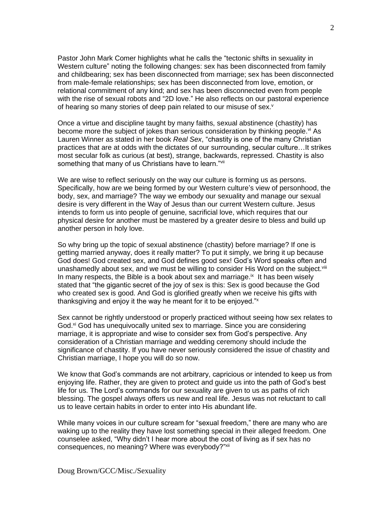Pastor John Mark Comer highlights what he calls the "tectonic shifts in sexuality in Western culture" noting the following changes: sex has been disconnected from family and childbearing; sex has been disconnected from marriage; sex has been disconnected from male-female relationships; sex has been disconnected from love, emotion, or relational commitment of any kind; and sex has been disconnected even from people with the rise of sexual robots and "2D love." He also reflects on our pastoral experience of hearing so many stories of deep pain related to our misuse of sex.<sup>v</sup>

Once a virtue and discipline taught by many faiths, sexual abstinence (chastity) has become more the subject of jokes than serious consideration by thinking people.<sup>vi</sup> As Lauren Winner as stated in her book *Real Sex*, "chastity is one of the many Christian practices that are at odds with the dictates of our surrounding, secular culture…It strikes most secular folk as curious (at best), strange, backwards, repressed. Chastity is also something that many of us Christians have to learn."<sup>vii</sup>

We are wise to reflect seriously on the way our culture is forming us as persons. Specifically, how are we being formed by our Western culture's view of personhood, the body, sex, and marriage? The way we embody our sexuality and manage our sexual desire is very different in the Way of Jesus than our current Western culture. Jesus intends to form us into people of genuine, sacrificial love, which requires that our physical desire for another must be mastered by a greater desire to bless and build up another person in holy love.

So why bring up the topic of sexual abstinence (chastity) before marriage? If one is getting married anyway, does it really matter? To put it simply, we bring it up because God does! God created sex, and God defines good sex! God's Word speaks often and unashamedly about sex, and we must be willing to consider His Word on the subject.<sup>viii</sup> In many respects, the Bible is a book about sex and marriage. $\mathbb{R}$  It has been wisely stated that "the gigantic secret of the joy of sex is this: Sex is good because the God who created sex is good. And God is glorified greatly when we receive his gifts with thanksgiving and enjoy it the way he meant for it to be enjoyed."<sup>x</sup>

Sex cannot be rightly understood or properly practiced without seeing how sex relates to God.<sup>xi</sup> God has unequivocally united sex to marriage. Since you are considering marriage, it is appropriate and wise to consider sex from God's perspective. Any consideration of a Christian marriage and wedding ceremony should include the significance of chastity. If you have never seriously considered the issue of chastity and Christian marriage, I hope you will do so now.

We know that God's commands are not arbitrary, capricious or intended to keep us from enjoying life. Rather, they are given to protect and guide us into the path of God's best life for us. The Lord's commands for our sexuality are given to us as paths of rich blessing. The gospel always offers us new and real life. Jesus was not reluctant to call us to leave certain habits in order to enter into His abundant life.

While many voices in our culture scream for "sexual freedom," there are many who are waking up to the reality they have lost something special in their alleged freedom. One counselee asked, "Why didn't I hear more about the cost of living as if sex has no consequences, no meaning? Where was everybody?"<sup>xii</sup>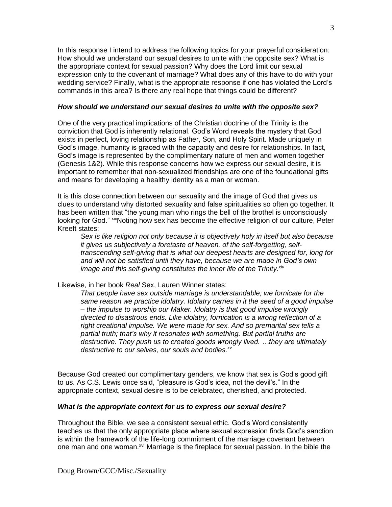In this response I intend to address the following topics for your prayerful consideration: How should we understand our sexual desires to unite with the opposite sex? What is the appropriate context for sexual passion? Why does the Lord limit our sexual expression only to the covenant of marriage? What does any of this have to do with your wedding service? Finally, what is the appropriate response if one has violated the Lord's commands in this area? Is there any real hope that things could be different?

# *How should we understand our sexual desires to unite with the opposite sex?*

One of the very practical implications of the Christian doctrine of the Trinity is the conviction that God is inherently relational. God's Word reveals the mystery that God exists in perfect, loving relationship as Father, Son, and Holy Spirit. Made uniquely in God's image, humanity is graced with the capacity and desire for relationships. In fact, God's image is represented by the complimentary nature of men and women together (Genesis 1&2). While this response concerns how we express our sexual desire, it is important to remember that non-sexualized friendships are one of the foundational gifts and means for developing a healthy identity as a man or woman.

It is this close connection between our sexuality and the image of God that gives us clues to understand why distorted sexuality and false spiritualities so often go together. It has been written that "the young man who rings the bell of the brothel is unconsciously looking for God." xiiiNoting how sex has become the effective religion of our culture, Peter Kreeft states:

*Sex is like religion not only because it is objectively holy in itself but also because it gives us subjectively a foretaste of heaven, of the self-forgetting, selftranscending self-giving that is what our deepest hearts are designed for, long for and will not be satisfied until they have, because we are made in God's own image and this self-giving constitutes the inner life of the Trinity.xiv*

Likewise, in her book *Real* Sex, Lauren Winner states:

*That people have sex outside marriage is understandable; we fornicate for the same reason we practice idolatry. Idolatry carries in it the seed of a good impulse – the impulse to worship our Maker. Idolatry is that good impulse wrongly directed to disastrous ends. Like idolatry, fornication is a wrong reflection of a right creational impulse. We were made for sex. And so premarital sex tells a partial truth; that's why it resonates with something. But partial truths are destructive. They push us to created goods wrongly lived. …they are ultimately destructive to our selves, our souls and bodies. xv*

Because God created our complimentary genders, we know that sex is God's good gift to us. As C.S. Lewis once said, "pleasure is God's idea, not the devil's." In the appropriate context, sexual desire is to be celebrated, cherished, and protected.

## *What is the appropriate context for us to express our sexual desire?*

Throughout the Bible, we see a consistent sexual ethic. God's Word consistently teaches us that the only appropriate place where sexual expression finds God's sanction is within the framework of the life-long commitment of the marriage covenant between one man and one woman.<sup>xvi</sup> Marriage is the fireplace for sexual passion. In the bible the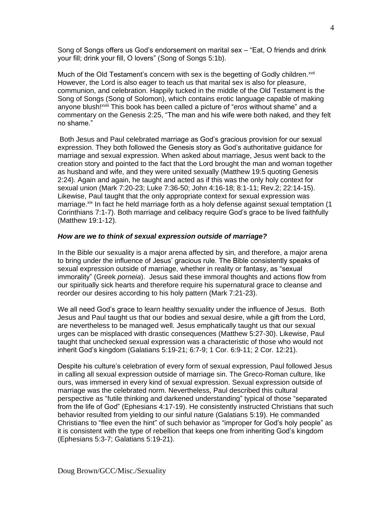Song of Songs offers us God's endorsement on marital sex – "Eat, O friends and drink your fill; drink your fill, O lovers" (Song of Songs 5:1b).

Much of the Old Testament's concern with sex is the begetting of Godly children.<sup>xvii</sup> However, the Lord is also eager to teach us that marital sex is also for pleasure, communion, and celebration. Happily tucked in the middle of the Old Testament is the Song of Songs (Song of Solomon), which contains erotic language capable of making anyone blush!xviii This book has been called a picture of "*eros* without shame" and a commentary on the Genesis 2:25, "The man and his wife were both naked, and they felt no shame."

Both Jesus and Paul celebrated marriage as God's gracious provision for our sexual expression. They both followed the Genesis story as God's authoritative guidance for marriage and sexual expression. When asked about marriage, Jesus went back to the creation story and pointed to the fact that the Lord brought the man and woman together as husband and wife, and they were united sexually (Matthew 19:5 quoting Genesis 2:24). Again and again, he taught and acted as if this was the only holy context for sexual union (Mark 7:20-23; Luke 7:36-50; John 4:16-18; 8:1-11; Rev.2; 22:14-15). Likewise, Paul taught that the only appropriate context for sexual expression was marriage. xix In fact he held marriage forth as a holy defense against sexual temptation (1 Corinthians 7:1-7). Both marriage and celibacy require God's grace to be lived faithfully (Matthew 19:1-12).

#### *How are we to think of sexual expression outside of marriage?*

In the Bible our sexuality is a major arena affected by sin, and therefore, a major arena to bring under the influence of Jesus' gracious rule. The Bible consistently speaks of sexual expression outside of marriage, whether in reality or fantasy, as "sexual immorality" (Greek *porneia*). Jesus said these immoral thoughts and actions flow from our spiritually sick hearts and therefore require his supernatural grace to cleanse and reorder our desires according to his holy pattern (Mark 7:21-23).

We all need God's grace to learn healthy sexuality under the influence of Jesus. Both Jesus and Paul taught us that our bodies and sexual desire, while a gift from the Lord, are nevertheless to be managed well. Jesus emphatically taught us that our sexual urges can be misplaced with drastic consequences (Matthew 5:27-30). Likewise, Paul taught that unchecked sexual expression was a characteristic of those who would not inherit God's kingdom (Galatians 5:19-21; 6:7-9; 1 Cor. 6:9-11; 2 Cor. 12:21).

Despite his culture's celebration of every form of sexual expression, Paul followed Jesus in calling all sexual expression outside of marriage sin. The Greco-Roman culture, like ours, was immersed in every kind of sexual expression. Sexual expression outside of marriage was the celebrated norm. Nevertheless, Paul described this cultural perspective as "futile thinking and darkened understanding" typical of those "separated from the life of God" (Ephesians 4:17-19). He consistently instructed Christians that such behavior resulted from yielding to our sinful nature (Galatians 5:19). He commanded Christians to "flee even the hint" of such behavior as "improper for God's holy people" as it is consistent with the type of rebellion that keeps one from inheriting God's kingdom (Ephesians 5:3-7; Galatians 5:19-21).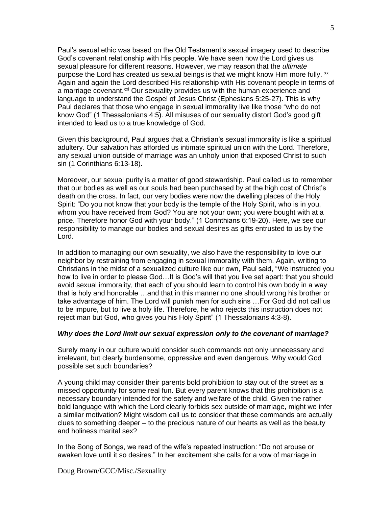Paul's sexual ethic was based on the Old Testament's sexual imagery used to describe God's covenant relationship with His people. We have seen how the Lord gives us sexual pleasure for different reasons. However, we may reason that the *ultimate* purpose the Lord has created us sexual beings is that we might know Him more fully.  $\mathbf{x}$ Again and again the Lord described His relationship with His covenant people in terms of a marriage covenant.<sup>xxi</sup> Our sexuality provides us with the human experience and language to understand the Gospel of Jesus Christ (Ephesians 5:25-27). This is why Paul declares that those who engage in sexual immorality live like those "who do not know God" (1 Thessalonians 4:5). All misuses of our sexuality distort God's good gift intended to lead us to a true knowledge of God.

Given this background, Paul argues that a Christian's sexual immorality is like a spiritual adultery. Our salvation has afforded us intimate spiritual union with the Lord. Therefore, any sexual union outside of marriage was an unholy union that exposed Christ to such sin (1 Corinthians 6:13-18).

Moreover, our sexual purity is a matter of good stewardship. Paul called us to remember that our bodies as well as our souls had been purchased by at the high cost of Christ's death on the cross. In fact, our very bodies were now the dwelling places of the Holy Spirit: "Do you not know that your body is the temple of the Holy Spirit, who is in you, whom you have received from God? You are not your own; you were bought with at a price. Therefore honor God with your body." (1 Corinthians 6:19-20). Here, we see our responsibility to manage our bodies and sexual desires as gifts entrusted to us by the Lord.

In addition to managing our own sexuality, we also have the responsibility to love our neighbor by restraining from engaging in sexual immorality with them. Again, writing to Christians in the midst of a sexualized culture like our own, Paul said, "We instructed you how to live in order to please God…It is God's will that you live set apart: that you should avoid sexual immorality, that each of you should learn to control his own body in a way that is holy and honorable …and that in this manner no one should wrong his brother or take advantage of him. The Lord will punish men for such sins …For God did not call us to be impure, but to live a holy life. Therefore, he who rejects this instruction does not reject man but God, who gives you his Holy Spirit" (1 Thessalonians 4:3-8).

### *Why does the Lord limit our sexual expression only to the covenant of marriage?*

Surely many in our culture would consider such commands not only unnecessary and irrelevant, but clearly burdensome, oppressive and even dangerous. Why would God possible set such boundaries?

A young child may consider their parents bold prohibition to stay out of the street as a missed opportunity for some real fun. But every parent knows that this prohibition is a necessary boundary intended for the safety and welfare of the child. Given the rather bold language with which the Lord clearly forbids sex outside of marriage, might we infer a similar motivation? Might wisdom call us to consider that these commands are actually clues to something deeper – to the precious nature of our hearts as well as the beauty and holiness marital sex?

In the Song of Songs, we read of the wife's repeated instruction: "Do not arouse or awaken love until it so desires." In her excitement she calls for a vow of marriage in

Doug Brown/GCC/Misc./Sexuality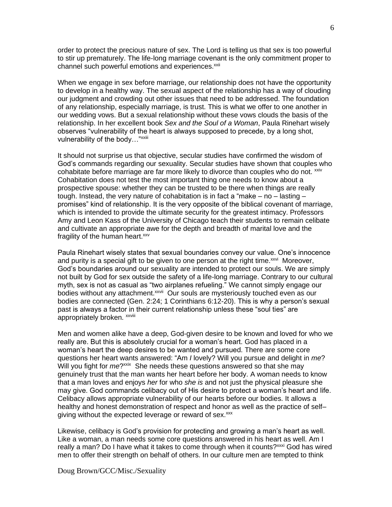order to protect the precious nature of sex. The Lord is telling us that sex is too powerful to stir up prematurely. The life-long marriage covenant is the only commitment proper to channel such powerful emotions and experiences.<sup>xxii</sup>

When we engage in sex before marriage, our relationship does not have the opportunity to develop in a healthy way. The sexual aspect of the relationship has a way of clouding our judgment and crowding out other issues that need to be addressed. The foundation of any relationship, especially marriage, is trust. This is what we offer to one another in our wedding vows. But a sexual relationship without these vows clouds the basis of the relationship. In her excellent book *Sex and the Soul of a Woman*, Paula Rinehart wisely observes "vulnerability of the heart is always supposed to precede, by a long shot, vulnerability of the body..."<sup>xxiii</sup>

It should not surprise us that objective, secular studies have confirmed the wisdom of God's commands regarding our sexuality. Secular studies have shown that couples who cohabitate before marriage are far more likely to divorce than couples who do not.  $^{xxiv}$ Cohabitation does not test the most important thing one needs to know about a prospective spouse: whether they can be trusted to be there when things are really tough. Instead, the very nature of cohabitation is in fact a "make  $-$  no  $-$  lasting  $$ promises" kind of relationship. It is the very opposite of the biblical covenant of marriage, which is intended to provide the ultimate security for the greatest intimacy. Professors Amy and Leon Kass of the University of Chicago teach their students to remain celibate and cultivate an appropriate awe for the depth and breadth of marital love and the fragility of the human heart.<sup>xxv</sup>

Paula Rinehart wisely states that sexual boundaries convey our value. One's innocence and purity is a special gift to be given to one person at the right time.<sup>xxvi</sup> Moreover, God's boundaries around our sexuality are intended to protect our souls. We are simply not built by God for sex outside the safety of a life-long marriage. Contrary to our cultural myth, sex is not as casual as "two airplanes refueling." We cannot simply engage our bodies without any attachment.<sup>xxvii</sup> Our souls are mysteriously touched even as our bodies are connected (Gen. 2:24; 1 Corinthians 6:12-20). This is why a person's sexual past is always a factor in their current relationship unless these "soul ties" are appropriately broken. xxviii

Men and women alike have a deep, God-given desire to be known and loved for who we really are. But this is absolutely crucial for a woman's heart. God has placed in a woman's heart the deep desires to be wanted and pursued. There are some core questions her heart wants answered: "Am *I* lovely? Will you pursue and delight in *me*? Will you fight for *me*?<sup>xxix</sup> She needs these questions answered so that she may genuinely trust that the man wants her heart before her body. A woman needs to know that a man loves and enjoys *her* for who *she is* and not just the physical pleasure she may give. God commands celibacy out of His desire to protect a woman's heart and life. Celibacy allows appropriate vulnerability of our hearts before our bodies. It allows a healthy and honest demonstration of respect and honor as well as the practice of self– giving without the expected leverage or reward of sex.<sup>xxx</sup>

Likewise, celibacy is God's provision for protecting and growing a man's heart as well. Like a woman, a man needs some core questions answered in his heart as well. Am I really a man? Do I have what it takes to come through when it counts?<sup>xxxi</sup> God has wired men to offer their strength on behalf of others. In our culture men are tempted to think

Doug Brown/GCC/Misc./Sexuality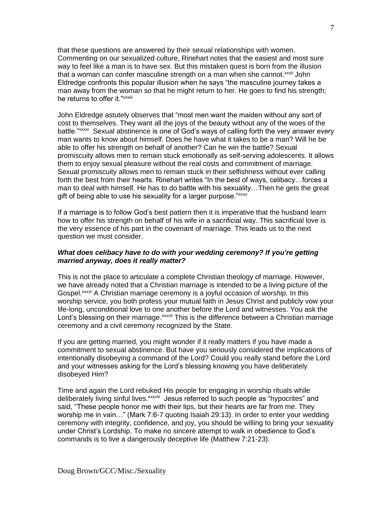that these questions are answered by their sexual relationships with women. Commenting on our sexualized culture, Rinehart notes that the easiest and most sure way to feel like a man is to have sex. But this mistaken quest is born from the illusion that a woman can confer masculine strength on a man when she cannot.<sup>xxxii</sup> John Eldredge confronts this popular illusion when he says "the masculine journey takes a man away from the woman so that he might return to her. He goes to find his strength; he returns to offer it."<sup>xxxiii</sup>

John Eldredge astutely observes that "most men want the maiden without any sort of cost to themselves. They want all the joys of the beauty without any of the woes of the battle."<sup>xxxiv</sup> Sexual abstinence is one of God's ways of calling forth the very answer every man wants to know about himself. Does he have what it takes to be a man? Will he be able to offer his strength on behalf of another? Can he win the battle? Sexual promiscuity allows men to remain stuck emotionally as self-serving adolescents. It allows them to enjoy sexual pleasure without the real costs and commitment of marriage. Sexual promiscuity allows men to remain stuck in their selfishness without ever calling forth the best from their hearts. Rinehart writes "In the best of ways, celibacy…forces a man to deal with himself. He has to do battle with his sexuality…Then he gets the great gift of being able to use his sexuality for a larger purpose."xxxv

If a marriage is to follow God's best pattern then it is imperative that the husband learn how to offer his strength on behalf of his wife in a sacrificial way. This sacrificial love is the very essence of his part in the covenant of marriage. This leads us to the next question we must consider.

# *What does celibacy have to do with your wedding ceremony? If you're getting married anyway, does it really matter?*

This is not the place to articulate a complete Christian theology of marriage. However, we have already noted that a Christian marriage is intended to be a living picture of the Gospel.xxxvi A Christian marriage ceremony is a joyful occasion of *worship.* In this worship service, you both profess your mutual faith in Jesus Christ and publicly vow your life-long, unconditional love to one another before the Lord and witnesses. You ask the Lord's blessing on their marriage. *xxxvii* This is the difference between a Christian marriage ceremony and a civil ceremony recognized by the State.

If you are getting married, you might wonder if it really matters if you have made a commitment to sexual abstinence. But have you seriously considered the implications of intentionally disobeying a command of the Lord? Could you really stand before the Lord and your witnesses asking for the Lord's blessing knowing you have deliberately disobeyed Him?

Time and again the Lord rebuked His people for engaging in worship rituals while deliberately living sinful lives. XXXVIII Jesus referred to such people as "hypocrites" and said, "These people honor me with their lips, but their hearts are far from me. They worship me in vain…" (Mark 7:6-7 quoting Isaiah 29:13). In order to enter your wedding ceremony with integrity, confidence, and joy, you should be willing to bring your sexuality under Christ's Lordship. To make no sincere attempt to walk in obedience to God's commands is to live a dangerously deceptive life (Matthew 7:21-23).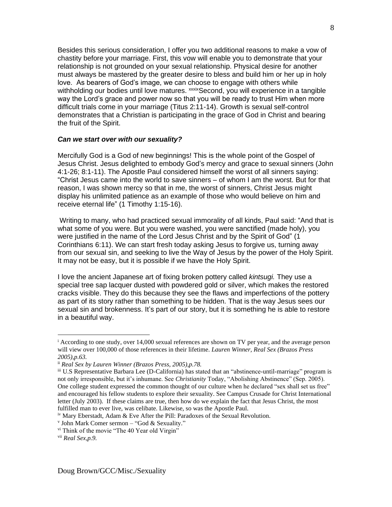Besides this serious consideration, I offer you two additional reasons to make a vow of chastity before your marriage. First, this vow will enable you to demonstrate that your relationship is not grounded on your sexual relationship. Physical desire for another must always be mastered by the greater desire to bless and build him or her up in holy love. As bearers of God's image, we can choose to engage with others while withholding our bodies until love matures. xxxixSecond, you will experience in a tangible way the Lord's grace and power now so that you will be ready to trust Him when more difficult trials come in your marriage (Titus 2:11-14). Growth is sexual self-control demonstrates that a Christian is participating in the grace of God in Christ and bearing the fruit of the Spirit.

## *Can we start over with our sexuality?*

Mercifully God is a God of new beginnings! This is the whole point of the Gospel of Jesus Christ. Jesus delighted to embody God's mercy and grace to sexual sinners (John 4:1-26; 8:1-11). The Apostle Paul considered himself the worst of all sinners saying: "Christ Jesus came into the world to save sinners – of whom I am the worst. But for that reason, I was shown mercy so that in me, the worst of sinners, Christ Jesus might display his unlimited patience as an example of those who would believe on him and receive eternal life" (1 Timothy 1:15-16).

Writing to many, who had practiced sexual immorality of all kinds, Paul said: "And that is what some of you were. But you were washed, you were sanctified (made holy), you were justified in the name of the Lord Jesus Christ and by the Spirit of God" (1 Corinthians 6:11). We can start fresh today asking Jesus to forgive us, turning away from our sexual sin, and seeking to live the Way of Jesus by the power of the Holy Spirit. It may not be easy, but it is possible if we have the Holy Spirit.

I love the ancient Japanese art of fixing broken pottery called *kintsugi.* They use a special tree sap lacquer dusted with powdered gold or silver, which makes the restored cracks visible. They do this because they see the flaws and imperfections of the pottery as part of its story rather than something to be hidden. That is the way Jesus sees our sexual sin and brokenness. It's part of our story, but it is something he is able to restore in a beautiful way.

<sup>&</sup>lt;sup>i</sup> According to one study, over 14,000 sexual references are shown on TV per year, and the average person will view over 100,000 of those references in their lifetime. *Lauren Winner, Real Sex (Brazos Press 2005),p.63.*

ii *Real Sex by Lauren Winner (Brazos Press, 2005),p.78.*

iii U.S Representative Barbara Lee (D-California) has stated that an "abstinence-until-marriage" program is not only irresponsible, but it's inhumane. See *Christianity* Today, "Abolishing Abstinence" (Sep. 2005). One college student expressed the common thought of our culture when he declared "sex shall set us free" and encouraged his fellow students to explore their sexuality. See Campus Crusade for Christ International letter (July 2003). If these claims are true, then how do we explain the fact that Jesus Christ, the most fulfilled man to ever live, was celibate. Likewise, so was the Apostle Paul.

iv Mary Eberstadt, Adam & Eve After the Pill: Paradoxes of the Sexual Revolution.

v John Mark Comer sermon – "God & Sexuality."

<sup>&</sup>lt;sup>vi</sup> Think of the movie "The 40 Year old Virgin"

vii *Real Sex,p.9.*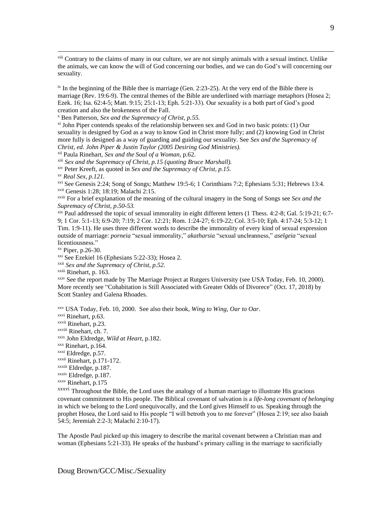viii Contrary to the claims of many in our culture, we are not simply animals with a sexual instinct. Unlike the animals, we can know the will of God concerning our bodies, and we can do God's will concerning our sexuality.

 $\frac{1}{x}$  In the beginning of the Bible thee is marriage (Gen. 2:23-25). At the very end of the Bible there is marriage (Rev. 19:6-9). The central themes of the Bible are underlined with marriage metaphors (Hosea 2; Ezek. 16; Isa. 62:4-5; Matt. 9:15; 25:1-13; Eph. 5:21-33). Our sexuality is a both part of God's good creation and also the brokenness of the Fall.

<sup>x</sup> Ben Patterson, *Sex and the Supremacy of Christ, p.55.*

 $\frac{x_i}{y}$  John Piper contends speaks of the relationship between sex and God in two basic points: (1) Our sexuality is designed by God as a way to know God in Christ more fully; and (2) knowing God in Christ more fully is designed as a way of guarding and guiding our sexuality. See *Sex and the Supremacy of Christ, ed. John Piper & Justin Taylor (2005 Desiring God Ministries).*

xii Paula Rinehart, *Sex and the Soul of a Woman*, p.62.

xiii *Sex and the Supremacy of Christ, p.15 (quoting Bruce Marshall).*

xiv Peter Kreeft, as quoted in *Sex and the Supremacy of Christ, p.15.*

xv *Real Sex, p.121.*

xvi See Genesis 2:24; Song of Songs; Matthew 19:5-6; 1 Corinthians 7:2; Ephesians 5:31; Hebrews 13:4. xvii Genesis 1:28; 18:19; Malachi 2:15.

xviii For a brief explanation of the meaning of the cultural imagery in the Song of Songs see *Sex and the Supremacy of Christ, p.50-53.*

xix Paul addressed the topic of sexual immorality in eight different letters (1 Thess. 4:2-8; Gal. 5:19-21; 6:7- 9; 1 Cor. 5:1-13; 6:9-20; 7:19; 2 Cor. 12:21; Rom. 1:24-27; 6:19-22; Col. 3:5-10; Eph. 4:17-24; 5:3-12; 1 Tim. 1:9-11). He uses three different words to describe the immorality of every kind of sexual expression outside of marriage: *porneia* "sexual immorality," *akatharsia* "sexual uncleanness," *aselgeia* "sexual licentiousness."

xx Piper, p.26-30.

xxi See Ezekiel 16 (Ephesians 5:22-33); Hosea 2.

xxii *Sex and the Supremacy of Christ, p.52.*

xxiii Rinehart, p. 163.

xxiv See the report made by The Marriage Project at Rutgers University (see USA Today, Feb. 10, 2000). More recently see "Cohabitation is Still Associated with Greater Odds of Divorece" (Oct. 17, 2018) by Scott Stanley and Galena Rhoades.

xxv USA Today, Feb. 10, 2000. See also their book, *Wing to Wing, Oar to Oar*.

xxvi Rinehart, p.63.

xxvii Rinehart, p.23.

xxviii Rinehart, ch. 7.

xxix John Eldredge, *Wild at Heart*, p.182.

xxx Rinehart, p.164.

xxxi Eldredge, p.57.

xxxii Rinehart, p.171-172.

xxxiii Eldredge, p.187.

xxxiv Eldredge, p.187.

xxxv Rinehart, p.175

xxxvi Throughout the Bible, the Lord uses the analogy of a human marriage to illustrate His gracious covenant commitment to His people. The Biblical covenant of salvation is a *life-long covenant of belonging* in which we belong to the Lord unequivocally, and the Lord gives Himself to us. Speaking through the prophet Hosea, the Lord said to His people "I will betroth you to me forever" (Hosea 2:19; see also Isaiah 54:5; Jeremiah 2:2-3; Malachi 2:10-17).

The Apostle Paul picked up this imagery to describe the marital covenant between a Christian man and woman (Ephesians 5:21-33). He speaks of the husband's primary calling in the marriage to sacrificially